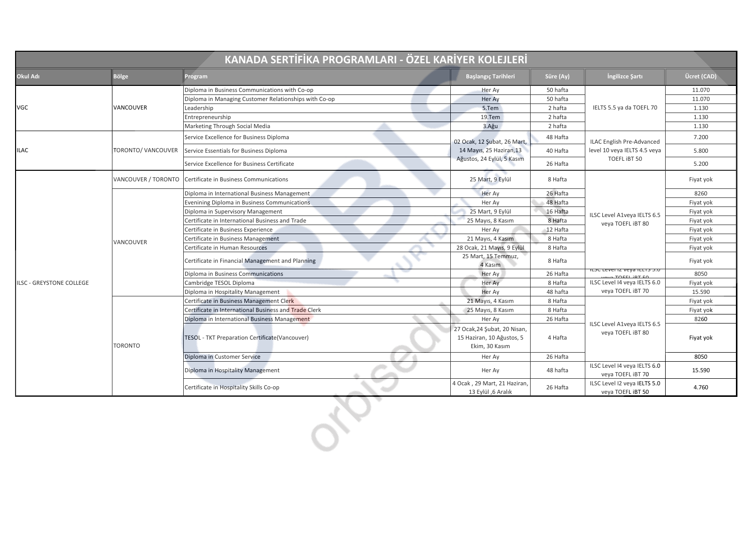| KANADA SERTİFİKA PROGRAMLARI - ÖZEL KARİYER KOLEJLERİ |                     |                                                       |                                                                             |                                                                      |                                                   |             |  |  |
|-------------------------------------------------------|---------------------|-------------------------------------------------------|-----------------------------------------------------------------------------|----------------------------------------------------------------------|---------------------------------------------------|-------------|--|--|
| Okul Adı                                              | <b>Bölge</b>        | Program                                               | <b>Başlangıç Tarihleri</b>                                                  | Süre (Ay)                                                            | İngilizce Şartı                                   | Ücret (CAD) |  |  |
| <b>VGC</b>                                            |                     | Diploma in Business Communications with Co-op         | Her Ay                                                                      | 50 hafta                                                             | IELTS 5.5 ya da TOEFL 70                          | 11.070      |  |  |
|                                                       | VANCOUVER           | Diploma in Managing Customer Relationships with Co-op | Her Ay                                                                      | 50 hafta                                                             |                                                   | 11.070      |  |  |
|                                                       |                     | Leadership                                            | 5.Tem                                                                       | 2 hafta                                                              |                                                   | 1.130       |  |  |
|                                                       |                     | Entrepreneurship                                      | 19.Tem                                                                      | 2 hafta                                                              |                                                   | 1.130       |  |  |
|                                                       |                     | Marketing Through Social Media                        | 3.Ağu                                                                       | 2 hafta                                                              |                                                   | 1.130       |  |  |
| ILAC                                                  | TORONTO/VANCOUVER   | Service Excellence for Business Diploma               | 02 Ocak, 12 Şubat, 26 Mart,                                                 | 48 Hafta                                                             | <b>ILAC English Pre-Advanced</b>                  | 7.200       |  |  |
|                                                       |                     | Service Essentials for Business Diploma               | 14 Mayıs, 25 Haziran, 13                                                    | level 10 veya IELTS 4.5 veya<br>40 Hafta<br>TOEFL IBT 50<br>26 Hafta | 5.800                                             |             |  |  |
|                                                       |                     | Service Excellence for Business Certificate           | Ağustos, 24 Eylül, 5 Kasım                                                  |                                                                      | 5.200                                             |             |  |  |
|                                                       | VANCOUVER / TORONTO | Certificate in Business Communications                | 25 Mart, 9 Eylül                                                            | 8 Hafta                                                              | ILSC Level A1veya IELTS 6.5<br>veya TOEFL iBT 80  | Fiyat yok   |  |  |
|                                                       |                     | Diploma in International Business Management          | Her Ay                                                                      | 26 Hafta                                                             |                                                   | 8260        |  |  |
|                                                       |                     | Evenining Diploma in Business Communications          | Her Ay                                                                      | 48 Hafta                                                             |                                                   | Fiyat yok   |  |  |
|                                                       |                     | Diploma in Supervisory Management                     | 25 Mart, 9 Eylül                                                            | 16 Hafta                                                             |                                                   | Fiyat yok   |  |  |
|                                                       |                     | Certificate in International Business and Trade       | 25 Mayıs, 8 Kasım                                                           | 8 Hafta                                                              |                                                   | Fiyat yok   |  |  |
| <b>ILSC - GREYSTONE COLLEGE</b>                       | VANCOUVER           | Certificate in Business Experience                    | Her Ay                                                                      | 12 Hafta                                                             |                                                   | Fiyat yok   |  |  |
|                                                       |                     | Certificate in Business Management                    | 21 Mayıs, 4 Kasım                                                           | 8 Hafta                                                              |                                                   | Fiyat yok   |  |  |
|                                                       |                     | Certificate in Human Resources                        | 28 Ocak, 21 Mayıs, 9 Eylül                                                  | 8 Hafta                                                              |                                                   | Fiyat yok   |  |  |
|                                                       |                     | Certificate in Financial Management and Planning      | 25 Mart, 15 Temmuz,<br>4 Kasım                                              | 8 Hafta                                                              |                                                   | Fiyat yok   |  |  |
|                                                       |                     | Diploma in Business Communications                    | Her Ay                                                                      | 26 Hafta                                                             | ILSC LEVEI IZ VEYA IEL IS 3.0                     | 8050        |  |  |
|                                                       |                     | Cambridge TESOL Diploma                               | Her Ay                                                                      | 8 Hafta                                                              | ILSC Level I4 veya IELTS 6.0                      | Fiyat yok   |  |  |
|                                                       |                     | Diploma in Hospitality Management                     | Her Ay                                                                      | 48 hafta                                                             | veya TOEFL iBT 70                                 | 15.590      |  |  |
|                                                       | <b>TORONTO</b>      | Certificate in Business Management Clerk              | 21 Mayıs, 4 Kasım                                                           | 8 Hafta                                                              | ILSC Level A1veya IELTS 6.5<br>veya TOEFL iBT 80  | Fiyat yok   |  |  |
|                                                       |                     | Certificate in International Business and Trade Clerk | 25 Mayıs, 8 Kasım                                                           | 8 Hafta                                                              |                                                   | Fiyat yok   |  |  |
|                                                       |                     | Diploma in International Business Management          | Her Ay                                                                      | 26 Hafta                                                             |                                                   | 8260        |  |  |
|                                                       |                     | TESOL - TKT Preparation Certificate(Vancouver)        | 27 Ocak, 24 Şubat, 20 Nisan,<br>15 Haziran, 10 Ağustos, 5<br>Ekim, 30 Kasım | 4 Hafta                                                              |                                                   | Fiyat yok   |  |  |
|                                                       |                     | Diploma in Customer Service                           | Her Ay                                                                      | 26 Hafta                                                             |                                                   | 8050        |  |  |
|                                                       |                     | Diploma in Hospitality Management                     | Her Ay                                                                      | 48 hafta                                                             | ILSC Level I4 veya IELTS 6.0<br>veya TOEFL iBT 70 | 15.590      |  |  |
|                                                       |                     | Certificate in Hospitality Skills Co-op               | 4 Ocak, 29 Mart, 21 Haziran,<br>13 Eylül ,6 Aralık                          | 26 Hafta                                                             | ILSC Level I2 veya IELTS 5.0<br>veya TOEFL iBT 50 | 4.760       |  |  |
|                                                       |                     |                                                       |                                                                             |                                                                      |                                                   |             |  |  |